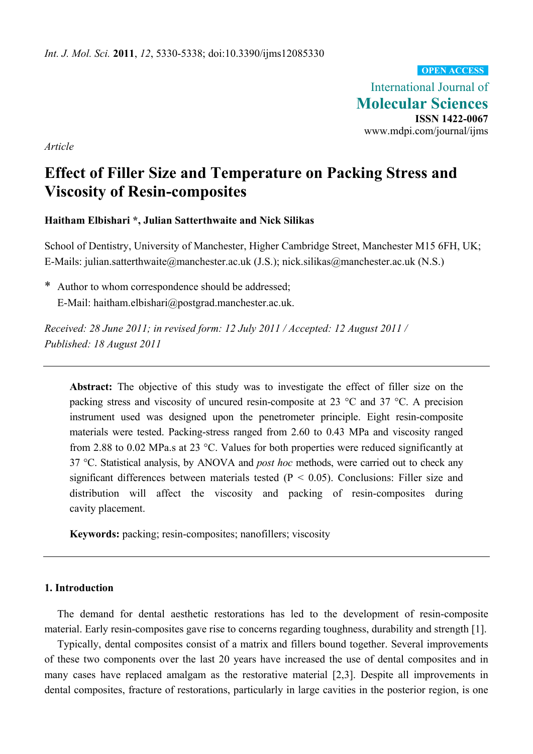International Journal of **Molecular Sciences ISSN 1422-0067**  www.mdpi.com/journal/ijms **OPEN ACCESS**

*Article* 

# **Effect of Filler Size and Temperature on Packing Stress and Viscosity of Resin-composites**

# **Haitham Elbishari \*, Julian Satterthwaite and Nick Silikas**

School of Dentistry, University of Manchester, Higher Cambridge Street, Manchester M15 6FH, UK; E-Mails: julian.satterthwaite@manchester.ac.uk (J.S.); nick.silikas@manchester.ac.uk (N.S.)

\* Author to whom correspondence should be addressed; E-Mail: haitham.elbishari@postgrad.manchester.ac.uk.

*Received: 28 June 2011; in revised form: 12 July 2011 / Accepted: 12 August 2011 / Published: 18 August 2011* 

**Abstract:** The objective of this study was to investigate the effect of filler size on the packing stress and viscosity of uncured resin-composite at 23 °C and 37 °C. A precision instrument used was designed upon the penetrometer principle. Eight resin-composite materials were tested. Packing-stress ranged from 2.60 to 0.43 MPa and viscosity ranged from 2.88 to 0.02 MPa.s at 23 °C. Values for both properties were reduced significantly at 37 °C. Statistical analysis, by ANOVA and *post hoc* methods, were carried out to check any significant differences between materials tested ( $P < 0.05$ ). Conclusions: Filler size and distribution will affect the viscosity and packing of resin-composites during cavity placement.

**Keywords:** packing; resin-composites; nanofillers; viscosity

# **1. Introduction**

The demand for dental aesthetic restorations has led to the development of resin-composite material. Early resin-composites gave rise to concerns regarding toughness, durability and strength [1].

Typically, dental composites consist of a matrix and fillers bound together. Several improvements of these two components over the last 20 years have increased the use of dental composites and in many cases have replaced amalgam as the restorative material [2,3]. Despite all improvements in dental composites, fracture of restorations, particularly in large cavities in the posterior region, is one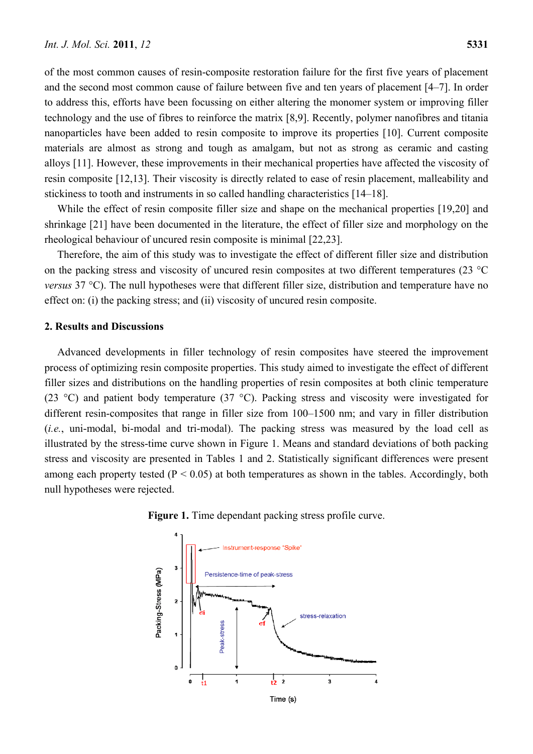of the most common causes of resin-composite restoration failure for the first five years of placement and the second most common cause of failure between five and ten years of placement [4–7]. In order to address this, efforts have been focussing on either altering the monomer system or improving filler technology and the use of fibres to reinforce the matrix [8,9]. Recently, polymer nanofibres and titania nanoparticles have been added to resin composite to improve its properties [10]. Current composite materials are almost as strong and tough as amalgam, but not as strong as ceramic and casting alloys [11]. However, these improvements in their mechanical properties have affected the viscosity of resin composite [12,13]. Their viscosity is directly related to ease of resin placement, malleability and stickiness to tooth and instruments in so called handling characteristics [14–18].

While the effect of resin composite filler size and shape on the mechanical properties [19,20] and shrinkage [21] have been documented in the literature, the effect of filler size and morphology on the rheological behaviour of uncured resin composite is minimal [22,23].

Therefore, the aim of this study was to investigate the effect of different filler size and distribution on the packing stress and viscosity of uncured resin composites at two different temperatures (23 °C *versus* 37 °C). The null hypotheses were that different filler size, distribution and temperature have no effect on: (i) the packing stress; and (ii) viscosity of uncured resin composite.

#### **2. Results and Discussions**

Advanced developments in filler technology of resin composites have steered the improvement process of optimizing resin composite properties. This study aimed to investigate the effect of different filler sizes and distributions on the handling properties of resin composites at both clinic temperature (23 °C) and patient body temperature (37 °C). Packing stress and viscosity were investigated for different resin-composites that range in filler size from 100–1500 nm; and vary in filler distribution (*i.e.*, uni-modal, bi-modal and tri-modal). The packing stress was measured by the load cell as illustrated by the stress-time curve shown in Figure 1. Means and standard deviations of both packing stress and viscosity are presented in Tables 1 and 2. Statistically significant differences were present among each property tested ( $P < 0.05$ ) at both temperatures as shown in the tables. Accordingly, both null hypotheses were rejected.



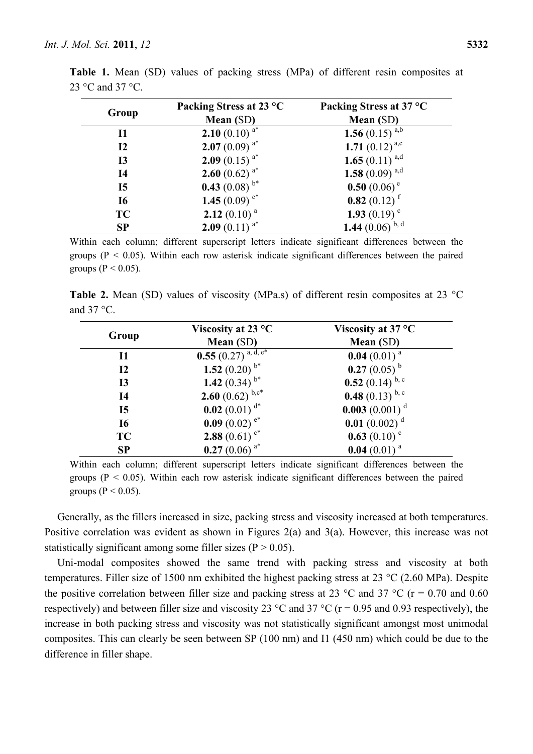| Group           | Packing Stress at 23 °C<br>Mean (SD) | Packing Stress at 37 °C<br>Mean (SD) |  |  |
|-----------------|--------------------------------------|--------------------------------------|--|--|
| $\mathbf{I}$    | <b>2.10</b> (0.10) $^{a*}$           | 1.56 $(0.15)$ <sup>a,b</sup>         |  |  |
| 12              | 2.07 $(0.09)^{a*}$                   | 1.71 $(0.12)^{a,c}$                  |  |  |
| I <sub>3</sub>  | <b>2.09</b> (0.15) $^{a*}$           | 1.65 $(0.11)^{a,d}$                  |  |  |
| I <sub>4</sub>  | <b>2.60</b> (0.62) $a^*$             | 1.58 $(0.09)^{a,d}$                  |  |  |
| $\overline{15}$ | <b>0.43</b> (0.08) $b^*$             | 0.50 $(0.06)$ <sup>e</sup>           |  |  |
| <b>I6</b>       | 1.45 $(0.09)$ $\mathrm{c}^*$         | 0.82 $(0.12)$ <sup>f</sup>           |  |  |
| <b>TC</b>       | 2.12 $(0.10)^a$                      | 1.93 $(0.19)^c$                      |  |  |
| <b>SP</b>       | <b>2.09</b> (0.11) $^{a*}$           | 1.44 $(0.06)$ <sup>b, d</sup>        |  |  |

**Table 1.** Mean (SD) values of packing stress (MPa) of different resin composites at 23 °C and 37 °C.

Within each column; different superscript letters indicate significant differences between the groups ( $P < 0.05$ ). Within each row asterisk indicate significant differences between the paired groups ( $P < 0.05$ ).

**Table 2.** Mean (SD) values of viscosity (MPa.s) of different resin composites at 23 °C and  $37^{\circ}$ C.

|                 | Viscosity at 23 $\mathrm{^{\circ}C}$ | Viscosity at $37^{\circ}$ C   |  |
|-----------------|--------------------------------------|-------------------------------|--|
| Group           | Mean (SD)                            | Mean (SD)                     |  |
| 11              | 0.55 $(0.27)^{a, \overline{d, e^*}}$ | 0.04 $(0.01)^a$               |  |
| <b>I2</b>       | 1.52 (0.20) $b^*$                    | 0.27 $(0.05)^{b}$             |  |
| <b>I3</b>       | 1.42 $(0.34)$ <sup>b*</sup>          | 0.52 $(0.14)^{b,c}$           |  |
| <b>I4</b>       | <b>2.60</b> (0.62) $b, c^*$          | 0.48 $(0.13)$ <sup>b, c</sup> |  |
| $\overline{15}$ | 0.02 $(0.01)^{d*}$                   | 0.003 $(0.001)^d$             |  |
| <b>I6</b>       | 0.09 $(0.02)$ <sup>e*</sup>          | 0.01 $(0.002)$ <sup>d</sup>   |  |
| <b>TC</b>       | 2.88 $(0.61)$ c*                     | 0.63 $(0.10)$ <sup>c</sup>    |  |
| SP              | 0.27 (0.06) $a^*$                    | 0.04 $(0.01)^a$               |  |

Within each column; different superscript letters indicate significant differences between the groups ( $P < 0.05$ ). Within each row asterisk indicate significant differences between the paired groups ( $P < 0.05$ ).

Generally, as the fillers increased in size, packing stress and viscosity increased at both temperatures. Positive correlation was evident as shown in Figures 2(a) and 3(a). However, this increase was not statistically significant among some filler sizes ( $P > 0.05$ ).

Uni-modal composites showed the same trend with packing stress and viscosity at both temperatures. Filler size of 1500 nm exhibited the highest packing stress at 23 °C (2.60 MPa). Despite the positive correlation between filler size and packing stress at 23 °C and 37 °C ( $r = 0.70$  and 0.60 respectively) and between filler size and viscosity 23  $^{\circ}$ C and 37  $^{\circ}$ C (r = 0.95 and 0.93 respectively), the increase in both packing stress and viscosity was not statistically significant amongst most unimodal composites. This can clearly be seen between SP (100 nm) and I1 (450 nm) which could be due to the difference in filler shape.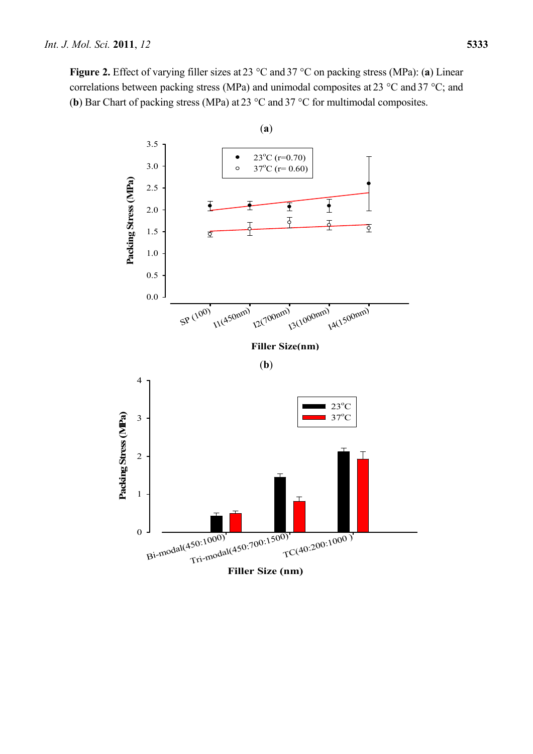**Figure 2.** Effect of varying filler sizes at 23 °C and 37 °C on packing stress (MPa): (**a**) Linear correlations between packing stress (MPa) and unimodal composites at 23 °C and 37 °C; and (**b**) Bar Chart of packing stress (MPa) at 23 °C and 37 °C for multimodal composites.

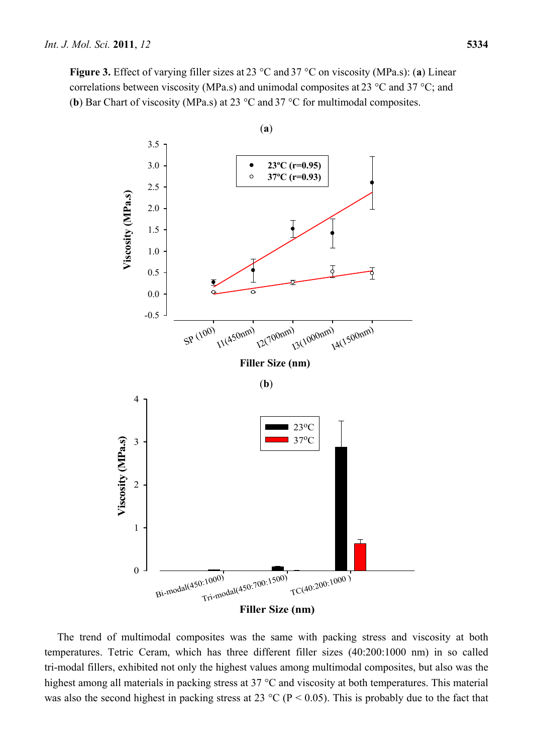**Figure 3.** Effect of varying filler sizes at 23 °C and 37 °C on viscosity (MPa.s): (**a**) Linear correlations between viscosity (MPa.s) and unimodal composites at 23 °C and 37 °C; and (**b**) Bar Chart of viscosity (MPa.s) at 23 °C and 37 °C for multimodal composites.



The trend of multimodal composites was the same with packing stress and viscosity at both temperatures. Tetric Ceram, which has three different filler sizes (40:200:1000 nm) in so called tri-modal fillers, exhibited not only the highest values among multimodal composites, but also was the highest among all materials in packing stress at 37 °C and viscosity at both temperatures. This material was also the second highest in packing stress at 23 °C ( $P < 0.05$ ). This is probably due to the fact that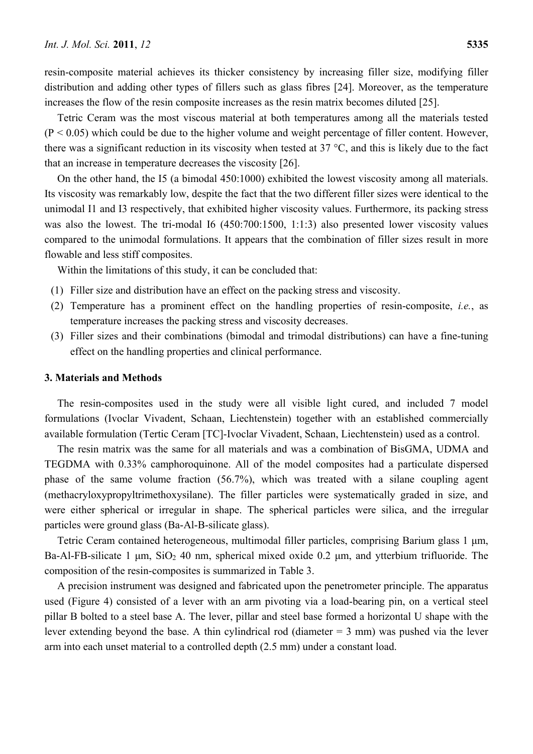resin-composite material achieves its thicker consistency by increasing filler size, modifying filler distribution and adding other types of fillers such as glass fibres [24]. Moreover, as the temperature increases the flow of the resin composite increases as the resin matrix becomes diluted [25].

Tetric Ceram was the most viscous material at both temperatures among all the materials tested  $(P < 0.05)$  which could be due to the higher volume and weight percentage of filler content. However, there was a significant reduction in its viscosity when tested at 37 °C, and this is likely due to the fact that an increase in temperature decreases the viscosity [26].

On the other hand, the I5 (a bimodal 450:1000) exhibited the lowest viscosity among all materials. Its viscosity was remarkably low, despite the fact that the two different filler sizes were identical to the unimodal I1 and I3 respectively, that exhibited higher viscosity values. Furthermore, its packing stress was also the lowest. The tri-modal I6 (450:700:1500, 1:1:3) also presented lower viscosity values compared to the unimodal formulations. It appears that the combination of filler sizes result in more flowable and less stiff composites.

Within the limitations of this study, it can be concluded that:

- (1) Filler size and distribution have an effect on the packing stress and viscosity.
- (2) Temperature has a prominent effect on the handling properties of resin-composite, *i.e.*, as temperature increases the packing stress and viscosity decreases.
- (3) Filler sizes and their combinations (bimodal and trimodal distributions) can have a fine-tuning effect on the handling properties and clinical performance.

# **3. Materials and Methods**

The resin-composites used in the study were all visible light cured, and included 7 model formulations (Ivoclar Vivadent, Schaan, Liechtenstein) together with an established commercially available formulation (Tertic Ceram [TC]-Ivoclar Vivadent, Schaan, Liechtenstein) used as a control.

The resin matrix was the same for all materials and was a combination of BisGMA, UDMA and TEGDMA with 0.33% camphoroquinone. All of the model composites had a particulate dispersed phase of the same volume fraction (56.7%), which was treated with a silane coupling agent (methacryloxypropyltrimethoxysilane). The filler particles were systematically graded in size, and were either spherical or irregular in shape. The spherical particles were silica, and the irregular particles were ground glass (Ba-Al-B-silicate glass).

Tetric Ceram contained heterogeneous, multimodal filler particles, comprising Barium glass 1 μm, Ba-Al-FB-silicate 1  $\mu$ m, SiO<sub>2</sub> 40 nm, spherical mixed oxide 0.2  $\mu$ m, and ytterbium trifluoride. The composition of the resin-composites is summarized in Table 3.

A precision instrument was designed and fabricated upon the penetrometer principle. The apparatus used (Figure 4) consisted of a lever with an arm pivoting via a load-bearing pin, on a vertical steel pillar B bolted to a steel base A. The lever, pillar and steel base formed a horizontal U shape with the lever extending beyond the base. A thin cylindrical rod (diameter = 3 mm) was pushed via the lever arm into each unset material to a controlled depth (2.5 mm) under a constant load.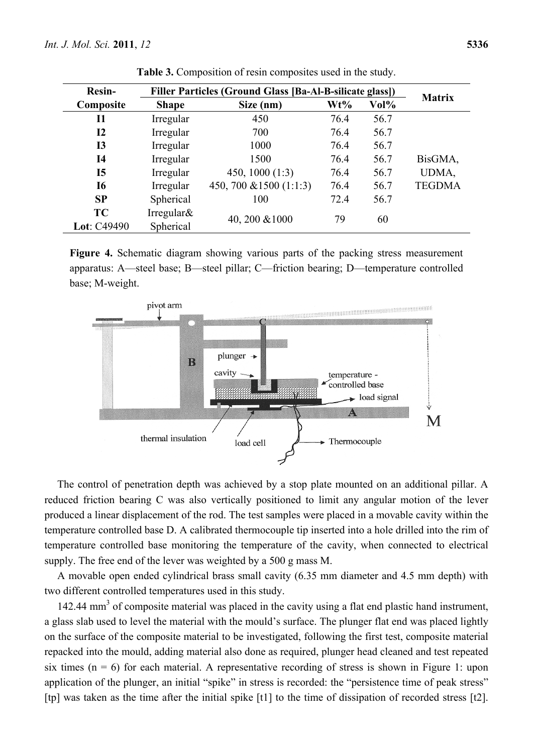| <b>Resin-</b> | Filler Particles (Ground Glass [Ba-Al-B-silicate glass]) | <b>Matrix</b>           |      |      |               |
|---------------|----------------------------------------------------------|-------------------------|------|------|---------------|
| Composite     | <b>Shape</b>                                             | Size (nm)               | Wt%  | Vol% |               |
| <b>I1</b>     | Irregular                                                | 450                     | 76.4 | 56.7 |               |
| 12            | Irregular                                                | 700                     | 76.4 | 56.7 |               |
| <b>I3</b>     | Irregular                                                | 1000                    | 76.4 | 56.7 |               |
| <b>I4</b>     | Irregular                                                | 1500                    | 76.4 | 56.7 | BisGMA,       |
| <b>I5</b>     | Irregular                                                | 450, 1000 $(1:3)$       | 76.4 | 56.7 | UDMA,         |
| <b>I6</b>     | Irregular                                                | 450, 700 & 1500 (1:1:3) | 76.4 | 56.7 | <b>TEGDMA</b> |
| SP            | Spherical                                                | 100                     | 72.4 | 56.7 |               |
| <b>TC</b>     | Irregular $\&$                                           | 40, 200 & 1000          | 79   | 60   |               |
| Lot: C49490   | Spherical                                                |                         |      |      |               |

**Table 3.** Composition of resin composites used in the study.

**Figure 4.** Schematic diagram showing various parts of the packing stress measurement apparatus: A—steel base; B—steel pillar; C—friction bearing; D—temperature controlled base; M-weight.



The control of penetration depth was achieved by a stop plate mounted on an additional pillar. A reduced friction bearing C was also vertically positioned to limit any angular motion of the lever produced a linear displacement of the rod. The test samples were placed in a movable cavity within the temperature controlled base D. A calibrated thermocouple tip inserted into a hole drilled into the rim of temperature controlled base monitoring the temperature of the cavity, when connected to electrical supply. The free end of the lever was weighted by a 500 g mass M.

A movable open ended cylindrical brass small cavity (6.35 mm diameter and 4.5 mm depth) with two different controlled temperatures used in this study.

142.44 mm<sup>3</sup> of composite material was placed in the cavity using a flat end plastic hand instrument, a glass slab used to level the material with the mould's surface. The plunger flat end was placed lightly on the surface of the composite material to be investigated, following the first test, composite material repacked into the mould, adding material also done as required, plunger head cleaned and test repeated six times ( $n = 6$ ) for each material. A representative recording of stress is shown in Figure 1: upon application of the plunger, an initial "spike" in stress is recorded: the "persistence time of peak stress" [tp] was taken as the time after the initial spike [t1] to the time of dissipation of recorded stress [t2].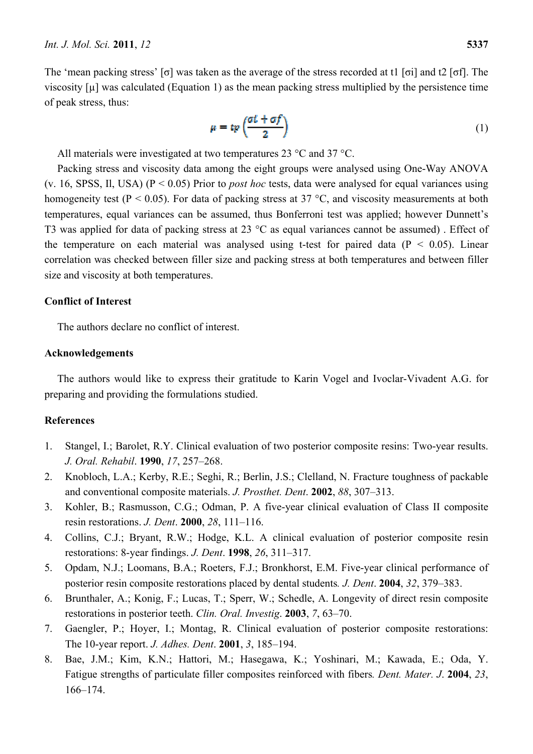The 'mean packing stress' [σ] was taken as the average of the stress recorded at t1 [σi] and t2 [σf]. The viscosity [µ] was calculated (Equation 1) as the mean packing stress multiplied by the persistence time of peak stress, thus:

$$
\mu = tp\left(\frac{at + af}{2}\right) \tag{1}
$$

All materials were investigated at two temperatures 23 °C and 37 °C.

Packing stress and viscosity data among the eight groups were analysed using One-Way ANOVA (v. 16, SPSS, Il, USA) (P < 0.05) Prior to *post hoc* tests, data were analysed for equal variances using homogeneity test ( $P < 0.05$ ). For data of packing stress at 37 °C, and viscosity measurements at both temperatures, equal variances can be assumed, thus Bonferroni test was applied; however Dunnett's T3 was applied for data of packing stress at 23 °C as equal variances cannot be assumed) . Effect of the temperature on each material was analysed using t-test for paired data ( $P < 0.05$ ). Linear correlation was checked between filler size and packing stress at both temperatures and between filler size and viscosity at both temperatures.

# **Conflict of Interest**

The authors declare no conflict of interest.

#### **Acknowledgements**

The authors would like to express their gratitude to Karin Vogel and Ivoclar-Vivadent A.G. for preparing and providing the formulations studied.

# **References**

- 1. Stangel, I.; Barolet, R.Y. Clinical evaluation of two posterior composite resins: Two-year results. *J. Oral. Rehabil*. **1990**, *17*, 257–268.
- 2. Knobloch, L.A.; Kerby, R.E.; Seghi, R.; Berlin, J.S.; Clelland, N. Fracture toughness of packable and conventional composite materials. *J. Prosthet. Dent*. **2002**, *88*, 307–313.
- 3. Kohler, B.; Rasmusson, C.G.; Odman, P. A five-year clinical evaluation of Class II composite resin restorations. *J. Dent*. **2000**, *28*, 111–116.
- 4. Collins, C.J.; Bryant, R.W.; Hodge, K.L. A clinical evaluation of posterior composite resin restorations: 8-year findings. *J. Dent*. **1998**, *26*, 311–317.
- 5. Opdam, N.J.; Loomans, B.A.; Roeters, F.J.; Bronkhorst, E.M. Five-year clinical performance of posterior resin composite restorations placed by dental students*. J. Dent*. **2004**, *32*, 379–383.
- 6. Brunthaler, A.; Konig, F.; Lucas, T.; Sperr, W.; Schedle, A. Longevity of direct resin composite restorations in posterior teeth. *Clin. Oral. Investig*. **2003**, *7*, 63–70.
- 7. Gaengler, P.; Hoyer, I.; Montag, R. Clinical evaluation of posterior composite restorations: The 10-year report. *J. Adhes. Dent*. **2001**, *3*, 185–194.
- 8. Bae, J.M.; Kim, K.N.; Hattori, M.; Hasegawa, K.; Yoshinari, M.; Kawada, E.; Oda, Y. Fatigue strengths of particulate filler composites reinforced with fibers*. Dent. Mater. J*. **2004**, *23*, 166–174.